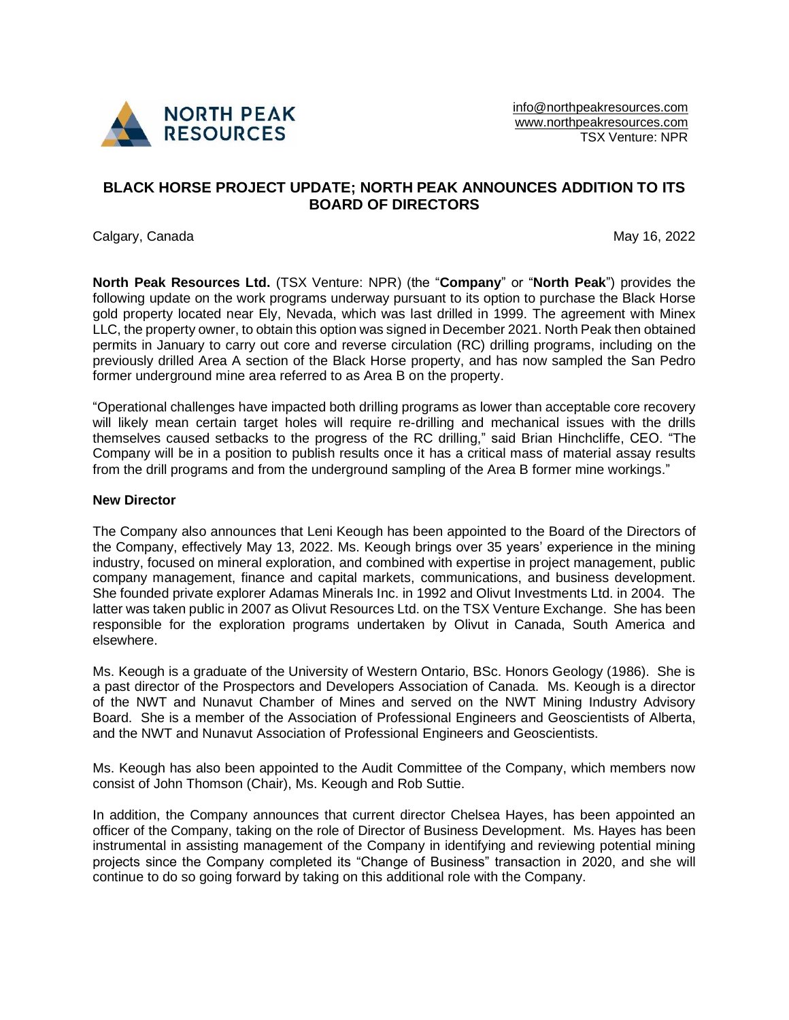

## **BLACK HORSE PROJECT UPDATE; NORTH PEAK ANNOUNCES ADDITION TO ITS BOARD OF DIRECTORS**

Calgary, Canada May 16, 2022

**North Peak Resources Ltd.** (TSX Venture: NPR) (the "**Company**" or "**North Peak**") provides the following update on the work programs underway pursuant to its option to purchase the Black Horse gold property located near Ely, Nevada, which was last drilled in 1999. The agreement with Minex LLC, the property owner, to obtain this option was signed in December 2021. North Peak then obtained permits in January to carry out core and reverse circulation (RC) drilling programs, including on the previously drilled Area A section of the Black Horse property, and has now sampled the San Pedro former underground mine area referred to as Area B on the property.

"Operational challenges have impacted both drilling programs as lower than acceptable core recovery will likely mean certain target holes will require re-drilling and mechanical issues with the drills themselves caused setbacks to the progress of the RC drilling," said Brian Hinchcliffe, CEO. "The Company will be in a position to publish results once it has a critical mass of material assay results from the drill programs and from the underground sampling of the Area B former mine workings."

## **New Director**

The Company also announces that Leni Keough has been appointed to the Board of the Directors of the Company, effectively May 13, 2022. Ms. Keough brings over 35 years' experience in the mining industry, focused on mineral exploration, and combined with expertise in project management, public company management, finance and capital markets, communications, and business development. She founded private explorer Adamas Minerals Inc. in 1992 and Olivut Investments Ltd. in 2004. The latter was taken public in 2007 as Olivut Resources Ltd. on the TSX Venture Exchange. She has been responsible for the exploration programs undertaken by Olivut in Canada, South America and elsewhere.

Ms. Keough is a graduate of the University of Western Ontario, BSc. Honors Geology (1986). She is a past director of the Prospectors and Developers Association of Canada. Ms. Keough is a director of the NWT and Nunavut Chamber of Mines and served on the NWT Mining Industry Advisory Board. She is a member of the Association of Professional Engineers and Geoscientists of Alberta, and the NWT and Nunavut Association of Professional Engineers and Geoscientists.

Ms. Keough has also been appointed to the Audit Committee of the Company, which members now consist of John Thomson (Chair), Ms. Keough and Rob Suttie.

In addition, the Company announces that current director Chelsea Hayes, has been appointed an officer of the Company, taking on the role of Director of Business Development. Ms. Hayes has been instrumental in assisting management of the Company in identifying and reviewing potential mining projects since the Company completed its "Change of Business" transaction in 2020, and she will continue to do so going forward by taking on this additional role with the Company.